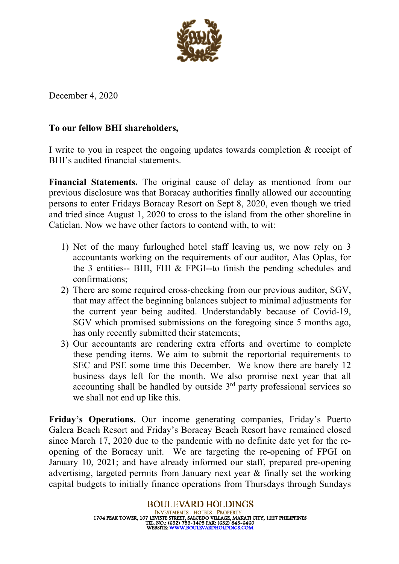

December 4, 2020

## **To our fellow BHI shareholders,**

I write to you in respect the ongoing updates towards completion & receipt of BHI's audited financial statements.

**Financial Statements.** The original cause of delay as mentioned from our previous disclosure was that Boracay authorities finally allowed our accounting persons to enter Fridays Boracay Resort on Sept 8, 2020, even though we tried and tried since August 1, 2020 to cross to the island from the other shoreline in Caticlan. Now we have other factors to contend with, to wit:

- 1) Net of the many furloughed hotel staff leaving us, we now rely on 3 accountants working on the requirements of our auditor, Alas Oplas, for the 3 entities-- BHI, FHI & FPGI--to finish the pending schedules and confirmations;
- 2) There are some required cross-checking from our previous auditor, SGV, that may affect the beginning balances subject to minimal adjustments for the current year being audited. Understandably because of Covid-19, SGV which promised submissions on the foregoing since 5 months ago, has only recently submitted their statements;
- 3) Our accountants are rendering extra efforts and overtime to complete these pending items. We aim to submit the reportorial requirements to SEC and PSE some time this December. We know there are barely 12 business days left for the month. We also promise next year that all accounting shall be handled by outside  $3<sup>rd</sup>$  party professional services so we shall not end up like this.

**Friday's Operations.** Our income generating companies, Friday's Puerto Galera Beach Resort and Friday's Boracay Beach Resort have remained closed since March 17, 2020 due to the pandemic with no definite date yet for the reopening of the Boracay unit. We are targeting the re-opening of FPGI on January 10, 2021; and have already informed our staff, prepared pre-opening advertising, targeted permits from January next year & finally set the working capital budgets to initially finance operations from Thursdays through Sundays